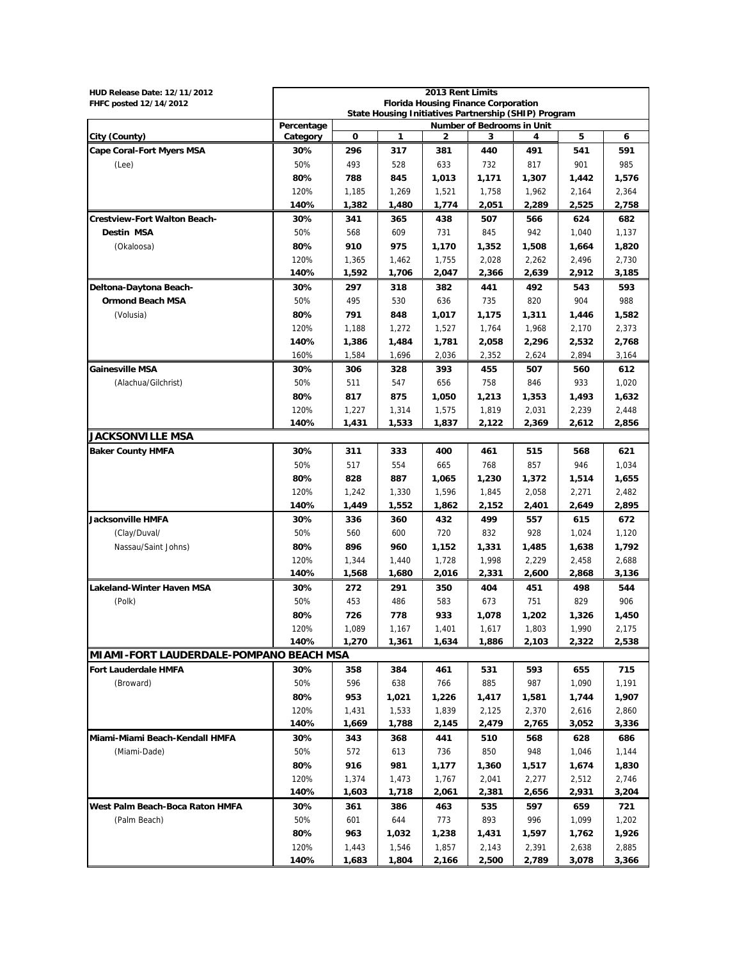| HUD Release Date: 12/11/2012            |                                                                                                  |                |                | 2013 Rent Limits                           |                |                |                |                |
|-----------------------------------------|--------------------------------------------------------------------------------------------------|----------------|----------------|--------------------------------------------|----------------|----------------|----------------|----------------|
| FHFC posted 12/14/2012                  |                                                                                                  |                |                | <b>Florida Housing Finance Corporation</b> |                |                |                |                |
|                                         | State Housing Initiatives Partnership (SHIP) Program<br>Percentage<br>Number of Bedrooms in Unit |                |                |                                            |                |                |                |                |
| City (County)                           | Category                                                                                         | 0              | 1              | 2                                          | 3              |                | 5              | 6              |
| <b>Cape Coral-Fort Myers MSA</b>        | 30%                                                                                              | 296            | 317            | 381                                        | 440            | 491            | 541            | 591            |
| (Lee)                                   | 50%                                                                                              | 493            | 528            | 633                                        | 732            | 817            | 901            | 985            |
|                                         | 80%                                                                                              | 788            | 845            | 1,013                                      | 1,171          | 1,307          | 1,442          | 1,576          |
|                                         | 120%                                                                                             | 1,185          | 1,269          | 1,521                                      | 1,758          | 1,962          | 2,164          | 2,364          |
|                                         | 140%                                                                                             | 1,382          | 1,480          | 1,774                                      | 2,051          | 2,289          | 2,525          | 2,758          |
| <b>Crestview-Fort Walton Beach-</b>     | 30%                                                                                              | 341            | 365            | 438                                        | 507            | 566            | 624            | 682            |
| <b>Destin MSA</b>                       | 50%                                                                                              | 568            | 609            | 731                                        | 845            | 942            | 1,040          | 1,137          |
| (Okaloosa)                              | 80%                                                                                              | 910            | 975            | 1,170                                      | 1,352          | 1,508          | 1,664          | 1,820          |
|                                         | 120%                                                                                             | 1,365          | 1,462          | 1,755                                      | 2,028          | 2,262          | 2,496          | 2,730          |
|                                         | 140%                                                                                             | 1,592          | 1,706          | 2,047                                      | 2,366          | 2,639          | 2,912          | 3,185          |
| Deltona-Daytona Beach-                  | 30%                                                                                              | 297            | 318            | 382                                        | 441            | 492            | 543            | 593            |
| <b>Ormond Beach MSA</b>                 | 50%                                                                                              | 495            | 530            | 636                                        | 735            | 820            | 904            | 988            |
| (Volusia)                               | 80%                                                                                              | 791            | 848            | 1,017                                      | 1,175          | 1,311          | 1,446          | 1,582          |
|                                         | 120%                                                                                             | 1,188          | 1,272          | 1,527                                      | 1,764          | 1,968          | 2,170          | 2,373          |
|                                         | 140%                                                                                             | 1,386          | 1,484          | 1,781                                      | 2,058          | 2,296          | 2,532          | 2,768          |
|                                         | 160%                                                                                             | 1,584          | 1,696          | 2,036                                      | 2,352          | 2,624          | 2,894          | 3,164          |
| <b>Gainesville MSA</b>                  | 30%                                                                                              | 306            | 328            | 393                                        | 455            | 507            | 560            | 612            |
| (Alachua/Gilchrist)                     | 50%                                                                                              | 511            | 547            | 656                                        | 758            | 846            | 933            | 1,020          |
|                                         | 80%                                                                                              | 817            | 875            | 1,050                                      | 1,213          | 1,353          | 1,493          | 1,632          |
|                                         | 120%                                                                                             | 1,227          | 1,314          | 1,575                                      | 1,819          | 2,031          | 2,239          | 2,448          |
|                                         | 140%                                                                                             | 1,431          | 1,533          | 1,837                                      | 2,122          | 2,369          | 2,612          | 2,856          |
| <b>JACKSONVILLE MSA</b>                 |                                                                                                  |                |                |                                            |                |                |                |                |
| <b>Baker County HMFA</b>                | 30%                                                                                              | 311            | 333            | 400                                        | 461            | 515            | 568            | 621            |
|                                         | 50%                                                                                              | 517            | 554            | 665                                        | 768            | 857            | 946            | 1,034          |
|                                         | 80%                                                                                              | 828            | 887            | 1,065                                      | 1,230          | 1,372          | 1,514          | 1,655          |
|                                         | 120%                                                                                             | 1,242          | 1,330          | 1,596                                      | 1,845          | 2,058          | 2,271          | 2,482          |
|                                         | 140%                                                                                             | 1,449          | 1,552          | 1,862                                      | 2,152          | 2,401          | 2,649          | 2,895          |
| Jacksonville HMFA                       | 30%                                                                                              | 336            | 360            | 432                                        | 499            | 557            | 615            | 672            |
| (Clay/Duval/                            | 50%                                                                                              | 560            | 600            | 720                                        | 832            | 928            | 1,024          | 1,120          |
| Nassau/Saint Johns)                     | 80%                                                                                              | 896            | 960            | 1,152                                      | 1,331          | 1,485          | 1,638          | 1,792          |
|                                         | 120%                                                                                             | 1,344          | 1,440          | 1,728                                      | 1,998          | 2,229          | 2,458          | 2,688          |
|                                         | 140%                                                                                             | 1,568          | 1,680          | 2,016                                      | 2,331          | 2,600          | 2,868          | 3,136          |
| <b>Lakeland-Winter Haven MSA</b>        | 30%                                                                                              | 272            | 291            | 350                                        | 404            | 451            | 498            | 544            |
| (Polk)                                  | 50%                                                                                              | 453            | 486            | 583                                        | 673            | 751            | 829            | 906            |
|                                         | 80%<br>120%                                                                                      | 726            | 778            | 933                                        | 1,078          | 1,202          | 1,326          | 1,450          |
|                                         | 140%                                                                                             | 1,089<br>1,270 | 1,167<br>1,361 | 1,401<br>1,634                             | 1,617<br>1,886 | 1,803<br>2,103 | 1,990<br>2,322 | 2,175<br>2,538 |
| MIAMI-FORT LAUDERDALE-POMPANO BEACH MSA |                                                                                                  |                |                |                                            |                |                |                |                |
| Fort Lauderdale HMFA                    | 30%                                                                                              | 358            | 384            | 461                                        | 531            | 593            | 655            | 715            |
| (Broward)                               | 50%                                                                                              | 596            | 638            | 766                                        | 885            | 987            | 1,090          | 1,191          |
|                                         | 80%                                                                                              | 953            | 1,021          | 1,226                                      | 1,417          | 1,581          | 1,744          | 1,907          |
|                                         | 120%                                                                                             | 1,431          | 1,533          | 1,839                                      | 2,125          | 2,370          | 2,616          | 2,860          |
|                                         | 140%                                                                                             | 1,669          | 1,788          | 2,145                                      | 2,479          | 2,765          | 3,052          | 3,336          |
| Miami-Miami Beach-Kendall HMFA          | 30%                                                                                              | 343            | 368            | 441                                        | 510            | 568            | 628            | 686            |
| (Miami-Dade)                            | 50%                                                                                              | 572            | 613            | 736                                        | 850            | 948            | 1,046          | 1,144          |
|                                         | 80%                                                                                              | 916            | 981            | 1,177                                      | 1,360          | 1,517          | 1,674          | 1,830          |
|                                         | 120%                                                                                             | 1,374          | 1,473          | 1,767                                      | 2,041          | 2,277          | 2,512          | 2,746          |
|                                         | 140%                                                                                             | 1,603          | 1,718          | 2,061                                      | 2,381          | 2,656          | 2,931          | 3,204          |
| West Palm Beach-Boca Raton HMFA         | 30%                                                                                              | 361            | 386            | 463                                        | 535            | 597            | 659            | 721            |
| (Palm Beach)                            | 50%                                                                                              | 601            | 644            | 773                                        | 893            | 996            | 1,099          | 1,202          |
|                                         | 80%                                                                                              | 963            | 1,032          | 1,238                                      | 1,431          | 1,597          | 1,762          | 1,926          |
|                                         | 120%                                                                                             | 1,443          | 1,546          | 1,857                                      | 2,143          | 2,391          | 2,638          | 2,885          |
|                                         | 140%                                                                                             | 1,683          | 1,804          | 2,166                                      | 2,500          | 2,789          | 3,078          | 3,366          |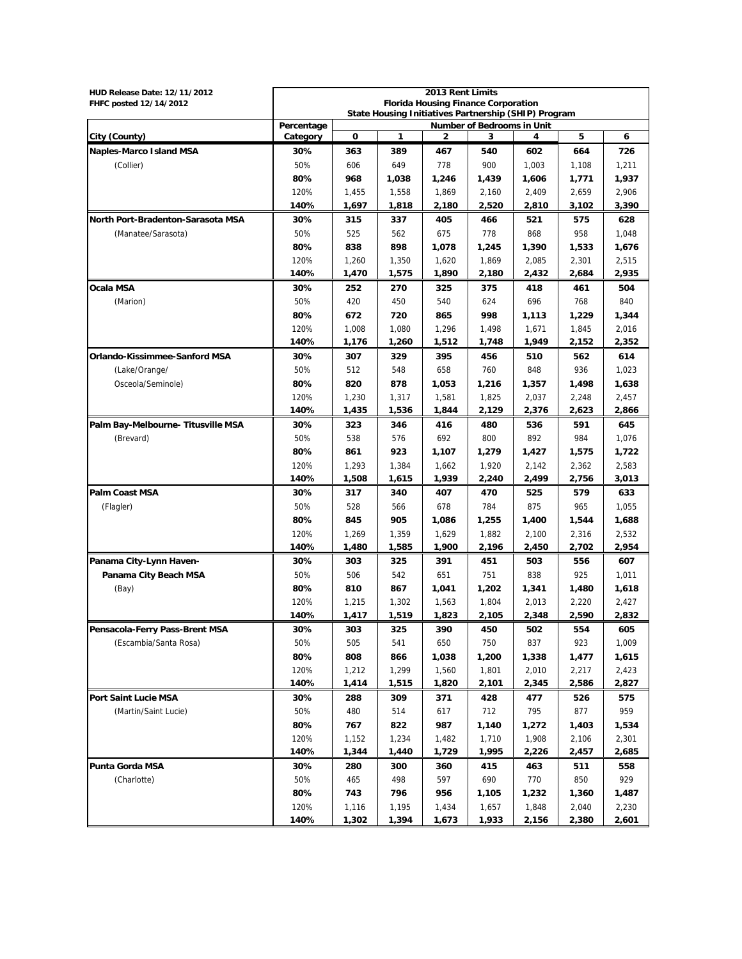| HUD Release Date: 12/11/2012       |                                                                                                    |       |       | 2013 Rent Limits |                            |       |       |       |  |
|------------------------------------|----------------------------------------------------------------------------------------------------|-------|-------|------------------|----------------------------|-------|-------|-------|--|
| FHFC posted 12/14/2012             | <b>Florida Housing Finance Corporation</b><br>State Housing Initiatives Partnership (SHIP) Program |       |       |                  |                            |       |       |       |  |
|                                    | Percentage                                                                                         |       |       |                  | Number of Bedrooms in Unit |       |       |       |  |
| City (County)                      | Category                                                                                           | 0     | 1     | 2                | 3                          | 4     | 5     | 6     |  |
| <b>Naples-Marco Island MSA</b>     | 30%                                                                                                | 363   | 389   | 467              | 540                        | 602   | 664   | 726   |  |
| (Collier)                          | 50%                                                                                                | 606   | 649   | 778              | 900                        | 1,003 | 1,108 | 1,211 |  |
|                                    | 80%                                                                                                | 968   | 1,038 | 1,246            | 1,439                      | 1,606 | 1,771 | 1,937 |  |
|                                    | 120%                                                                                               | 1,455 | 1,558 | 1,869            | 2,160                      | 2,409 | 2,659 | 2,906 |  |
|                                    | 140%                                                                                               | 1,697 | 1,818 | 2,180            | 2,520                      | 2,810 | 3,102 | 3,390 |  |
| North Port-Bradenton-Sarasota MSA  | 30%                                                                                                | 315   | 337   | 405              | 466                        | 521   | 575   | 628   |  |
| (Manatee/Sarasota)                 | 50%                                                                                                | 525   | 562   | 675              | 778                        | 868   | 958   | 1,048 |  |
|                                    | 80%                                                                                                | 838   | 898   | 1,078            | 1,245                      | 1,390 | 1,533 | 1,676 |  |
|                                    | 120%                                                                                               | 1,260 | 1,350 | 1,620            | 1,869                      | 2,085 | 2,301 | 2,515 |  |
|                                    | 140%                                                                                               | 1,470 | 1,575 | 1,890            | 2,180                      | 2,432 | 2,684 | 2,935 |  |
| Ocala MSA                          | 30%                                                                                                | 252   | 270   | 325              | 375                        | 418   | 461   | 504   |  |
| (Marion)                           | 50%                                                                                                | 420   | 450   | 540              | 624                        | 696   | 768   | 840   |  |
|                                    | 80%                                                                                                | 672   | 720   | 865              | 998                        | 1,113 | 1,229 | 1,344 |  |
|                                    | 120%                                                                                               | 1,008 | 1,080 | 1,296            | 1,498                      | 1,671 | 1,845 | 2,016 |  |
|                                    | 140%                                                                                               | 1,176 | 1,260 | 1,512            | 1,748                      | 1,949 | 2,152 | 2,352 |  |
| Orlando-Kissimmee-Sanford MSA      | 30%                                                                                                | 307   | 329   | 395              | 456                        | 510   | 562   | 614   |  |
| (Lake/Orange/                      | 50%                                                                                                | 512   | 548   | 658              | 760                        | 848   | 936   | 1,023 |  |
| Osceola/Seminole)                  | 80%                                                                                                | 820   | 878   | 1,053            | 1,216                      | 1,357 | 1,498 | 1,638 |  |
|                                    | 120%                                                                                               | 1,230 | 1,317 | 1,581            | 1,825                      | 2,037 | 2,248 | 2,457 |  |
|                                    | 140%                                                                                               | 1,435 | 1,536 | 1,844            | 2,129                      | 2,376 | 2,623 | 2,866 |  |
| Palm Bay-Melbourne- Titusville MSA | 30%                                                                                                | 323   | 346   | 416              | 480                        | 536   | 591   | 645   |  |
| (Brevard)                          | 50%                                                                                                | 538   | 576   | 692              | 800                        | 892   | 984   | 1,076 |  |
|                                    | 80%                                                                                                | 861   | 923   | 1,107            | 1,279                      | 1,427 | 1,575 | 1,722 |  |
|                                    | 120%                                                                                               | 1,293 | 1,384 | 1,662            | 1,920                      | 2,142 | 2,362 | 2,583 |  |
|                                    | 140%                                                                                               | 1,508 | 1,615 | 1,939            | 2,240                      | 2,499 | 2,756 | 3,013 |  |
| <b>Palm Coast MSA</b>              | 30%                                                                                                | 317   | 340   | 407              | 470                        | 525   | 579   | 633   |  |
| (Flagler)                          | 50%                                                                                                | 528   | 566   | 678              | 784                        | 875   | 965   | 1,055 |  |
|                                    | 80%                                                                                                | 845   | 905   | 1,086            | 1,255                      | 1,400 | 1,544 | 1,688 |  |
|                                    | 120%                                                                                               | 1,269 | 1,359 | 1,629            | 1,882                      | 2,100 | 2,316 | 2,532 |  |
|                                    | 140%                                                                                               | 1,480 | 1,585 | 1,900            | 2,196                      | 2,450 | 2,702 | 2,954 |  |
| Panama City-Lynn Haven-            | 30%                                                                                                | 303   | 325   | 391              | 451                        | 503   | 556   | 607   |  |
| Panama City Beach MSA              | 50%                                                                                                | 506   | 542   | 651              | 751                        | 838   | 925   | 1,011 |  |
| (Bay)                              | 80%                                                                                                | 810   | 867   | 1,041            | 1,202                      | 1,341 | 1,480 | 1,618 |  |
|                                    | 120%                                                                                               | 1,215 | 1,302 | 1,563            | 1,804                      | 2,013 | 2,220 | 2,427 |  |
|                                    | 140%                                                                                               | 1,417 | 1,519 | 1,823            | 2,105                      | 2,348 | 2,590 | 2,832 |  |
| Pensacola-Ferry Pass-Brent MSA     | 30%                                                                                                | 303   | 325   | 390              | 450                        | 502   | 554   | 605   |  |
| (Escambia/Santa Rosa)              | 50%                                                                                                | 505   | 541   | 650              | 750                        | 837   | 923   | 1,009 |  |
|                                    | 80%                                                                                                | 808   | 866   | 1,038            | 1,200                      | 1,338 | 1,477 | 1,615 |  |
|                                    | 120%                                                                                               | 1,212 | 1,299 | 1,560            | 1,801                      | 2,010 | 2,217 | 2,423 |  |
|                                    | 140%                                                                                               | 1,414 | 1,515 | 1,820            | 2,101                      | 2,345 | 2,586 | 2,827 |  |
| Port Saint Lucie MSA               | 30%                                                                                                | 288   | 309   | 371              | 428                        | 477   | 526   | 575   |  |
| (Martin/Saint Lucie)               | 50%                                                                                                | 480   | 514   | 617              | 712                        | 795   | 877   | 959   |  |
|                                    | 80%                                                                                                | 767   | 822   | 987              | 1,140                      | 1,272 | 1,403 | 1,534 |  |
|                                    | 120%                                                                                               | 1,152 | 1,234 | 1,482            | 1,710                      | 1,908 | 2,106 | 2,301 |  |
|                                    | 140%                                                                                               | 1,344 | 1,440 | 1,729            | 1,995                      | 2,226 | 2,457 | 2,685 |  |
| Punta Gorda MSA                    | 30%                                                                                                | 280   | 300   | 360              | 415                        | 463   | 511   | 558   |  |
| (Charlotte)                        | 50%                                                                                                | 465   | 498   | 597              | 690                        | 770   | 850   | 929   |  |
|                                    | 80%                                                                                                | 743   | 796   | 956              | 1,105                      | 1,232 | 1,360 | 1,487 |  |
|                                    | 120%                                                                                               | 1,116 | 1,195 | 1,434            | 1,657                      | 1,848 | 2,040 | 2,230 |  |
|                                    | 140%                                                                                               | 1,302 | 1,394 | 1,673            | 1,933                      | 2,156 | 2,380 | 2,601 |  |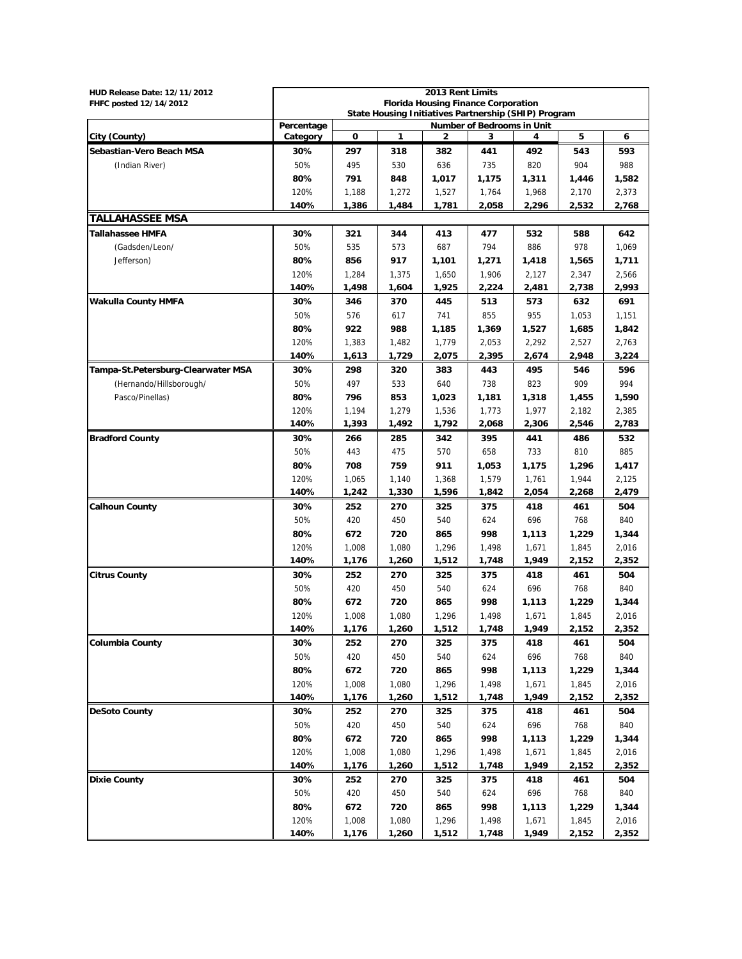| HUD Release Date: 12/11/2012       |                                                                                                  |                                            |            | 2013 Rent Limits |            |                |                |                |  |  |  |
|------------------------------------|--------------------------------------------------------------------------------------------------|--------------------------------------------|------------|------------------|------------|----------------|----------------|----------------|--|--|--|
| FHFC posted 12/14/2012             |                                                                                                  | <b>Florida Housing Finance Corporation</b> |            |                  |            |                |                |                |  |  |  |
|                                    | State Housing Initiatives Partnership (SHIP) Program<br>Percentage<br>Number of Bedrooms in Unit |                                            |            |                  |            |                |                |                |  |  |  |
| City (County)                      | Category                                                                                         | 0                                          | 1          | 2                | 3          | 4              | 5              | 6              |  |  |  |
| Sebastian-Vero Beach MSA           | 30%                                                                                              | 297                                        | 318        | 382              | 441        | 492            | 543            | 593            |  |  |  |
| (Indian River)                     | 50%                                                                                              | 495                                        | 530        | 636              | 735        | 820            | 904            | 988            |  |  |  |
|                                    | 80%                                                                                              | 791                                        | 848        | 1,017            | 1,175      | 1,311          | 1,446          | 1,582          |  |  |  |
|                                    | 120%                                                                                             | 1,188                                      | 1,272      | 1,527            | 1,764      | 1,968          | 2,170          | 2,373          |  |  |  |
|                                    | 140%                                                                                             | 1,386                                      | 1,484      | 1,781            | 2,058      | 2,296          | 2,532          | 2,768          |  |  |  |
| <b>TALLAHASSEE MSA</b>             |                                                                                                  |                                            |            |                  |            |                |                |                |  |  |  |
| Tallahassee HMFA                   | 30%                                                                                              | 321                                        | 344        | 413              | 477        | 532            | 588            | 642            |  |  |  |
| (Gadsden/Leon/                     | 50%                                                                                              | 535                                        | 573        | 687              | 794        | 886            | 978            | 1,069          |  |  |  |
| Jefferson)                         | 80%                                                                                              | 856                                        | 917        | 1,101            | 1,271      | 1,418          | 1,565          | 1,711          |  |  |  |
|                                    | 120%                                                                                             | 1,284                                      | 1,375      | 1,650            | 1,906      | 2,127          | 2,347          | 2,566          |  |  |  |
|                                    | 140%                                                                                             | 1,498                                      | 1,604      | 1,925            | 2,224      | 2,481          | 2,738          | 2,993          |  |  |  |
| <b>Wakulla County HMFA</b>         | 30%                                                                                              | 346                                        | 370        | 445              | 513        | 573            | 632            | 691            |  |  |  |
|                                    | 50%                                                                                              | 576                                        | 617        | 741              | 855        | 955            | 1,053          | 1,151          |  |  |  |
|                                    | 80%                                                                                              | 922                                        | 988        | 1,185            | 1,369      | 1,527          | 1,685          | 1,842          |  |  |  |
|                                    | 120%                                                                                             | 1,383                                      | 1,482      | 1.779            | 2,053      | 2,292          | 2,527          | 2,763          |  |  |  |
|                                    | 140%                                                                                             | 1,613                                      | 1,729      | 2,075            | 2,395      | 2,674          | 2,948          | 3,224          |  |  |  |
| Tampa-St.Petersburg-Clearwater MSA | 30%                                                                                              | 298                                        | 320        | 383              | 443        | 495            | 546            | 596            |  |  |  |
| (Hernando/Hillsborough/            | 50%                                                                                              | 497                                        | 533        | 640              | 738        | 823            | 909            | 994            |  |  |  |
| Pasco/Pinellas)                    | 80%                                                                                              | 796                                        | 853        | 1,023            | 1,181      | 1,318          | 1,455          | 1,590          |  |  |  |
|                                    | 120%                                                                                             | 1,194                                      | 1,279      | 1,536            | 1,773      | 1,977          | 2,182          | 2,385          |  |  |  |
|                                    | 140%                                                                                             | 1,393                                      | 1,492      | 1,792            | 2,068      | 2,306          | 2,546          | 2,783          |  |  |  |
| <b>Bradford County</b>             | 30%                                                                                              | 266                                        | 285        | 342              | 395        | 441            | 486            | 532            |  |  |  |
|                                    | 50%                                                                                              | 443                                        | 475        | 570              | 658        | 733            | 810            | 885            |  |  |  |
|                                    | 80%                                                                                              | 708                                        | 759        | 911              | 1,053      | 1,175          | 1,296          | 1,417          |  |  |  |
|                                    | 120%                                                                                             | 1,065                                      | 1,140      | 1,368            | 1,579      | 1,761          | 1,944          | 2,125          |  |  |  |
|                                    | 140%                                                                                             | 1,242                                      | 1,330      | 1,596            | 1,842      | 2,054          | 2,268          | 2,479          |  |  |  |
| <b>Calhoun County</b>              | 30%                                                                                              | 252                                        | 270        | 325              | 375        | 418            | 461            | 504            |  |  |  |
|                                    | 50%                                                                                              | 420                                        | 450        | 540              | 624        | 696            | 768            | 840            |  |  |  |
|                                    | 80%                                                                                              | 672                                        | 720        | 865              | 998        | 1,113          | 1,229          | 1,344          |  |  |  |
|                                    | 120%                                                                                             | 1,008                                      | 1,080      | 1,296            | 1,498      | 1,671          | 1,845          | 2,016          |  |  |  |
|                                    | 140%                                                                                             | 1,176                                      | 1,260      | 1,512            | 1,748      | 1,949          | 2,152          | 2,352          |  |  |  |
| <b>Citrus County</b>               | 30%                                                                                              | 252                                        | 270        | 325              | 375        | 418            | 461            | 504            |  |  |  |
|                                    | 50%                                                                                              | 420                                        | 450<br>720 | 540              | 624<br>998 | 696            | 768            | 840            |  |  |  |
|                                    | 80%<br>120%                                                                                      | 672<br>1,008                               | 1,080      | 865<br>1,296     | 1,498      | 1,113<br>1,671 | 1,229<br>1,845 | 1,344<br>2,016 |  |  |  |
|                                    | 140%                                                                                             | 1,176                                      | 1,260      | 1,512            | 1,748      | 1,949          | 2,152          | 2,352          |  |  |  |
| <b>Columbia County</b>             | 30%                                                                                              | 252                                        | 270        | 325              | 375        | 418            | 461            | 504            |  |  |  |
|                                    | 50%                                                                                              | 420                                        | 450        | 540              | 624        | 696            | 768            | 840            |  |  |  |
|                                    | 80%                                                                                              | 672                                        | 720        | 865              | 998        | 1,113          | 1,229          | 1,344          |  |  |  |
|                                    | 120%                                                                                             | 1,008                                      | 1,080      | 1,296            | 1,498      | 1,671          | 1,845          | 2,016          |  |  |  |
|                                    | 140%                                                                                             | 1,176                                      | 1,260      | 1,512            | 1,748      | 1,949          | 2,152          | 2,352          |  |  |  |
| <b>DeSoto County</b>               | 30%                                                                                              | 252                                        | 270        | 325              | 375        | 418            | 461            | 504            |  |  |  |
|                                    | 50%                                                                                              | 420                                        | 450        | 540              | 624        | 696            | 768            | 840            |  |  |  |
|                                    | 80%                                                                                              | 672                                        | 720        | 865              | 998        | 1,113          | 1,229          | 1,344          |  |  |  |
|                                    | 120%                                                                                             | 1,008                                      | 1,080      | 1,296            | 1,498      | 1,671          | 1,845          | 2,016          |  |  |  |
|                                    | 140%                                                                                             | 1,176                                      | 1,260      | 1,512            | 1,748      | 1,949          | 2,152          | 2,352          |  |  |  |
| <b>Dixie County</b>                | 30%                                                                                              | 252                                        | 270        | 325              | 375        | 418            | 461            | 504            |  |  |  |
|                                    | 50%                                                                                              | 420                                        | 450        | 540              | 624        | 696            | 768            | 840            |  |  |  |
|                                    | 80%                                                                                              | 672                                        | 720        | 865              | 998        | 1,113          | 1,229          | 1,344          |  |  |  |
|                                    | 120%                                                                                             | 1,008                                      | 1,080      | 1,296            | 1,498      | 1,671          | 1,845          | 2,016          |  |  |  |
|                                    | 140%                                                                                             | 1,176                                      | 1,260      | 1,512            | 1,748      | 1,949          | 2,152          | 2,352          |  |  |  |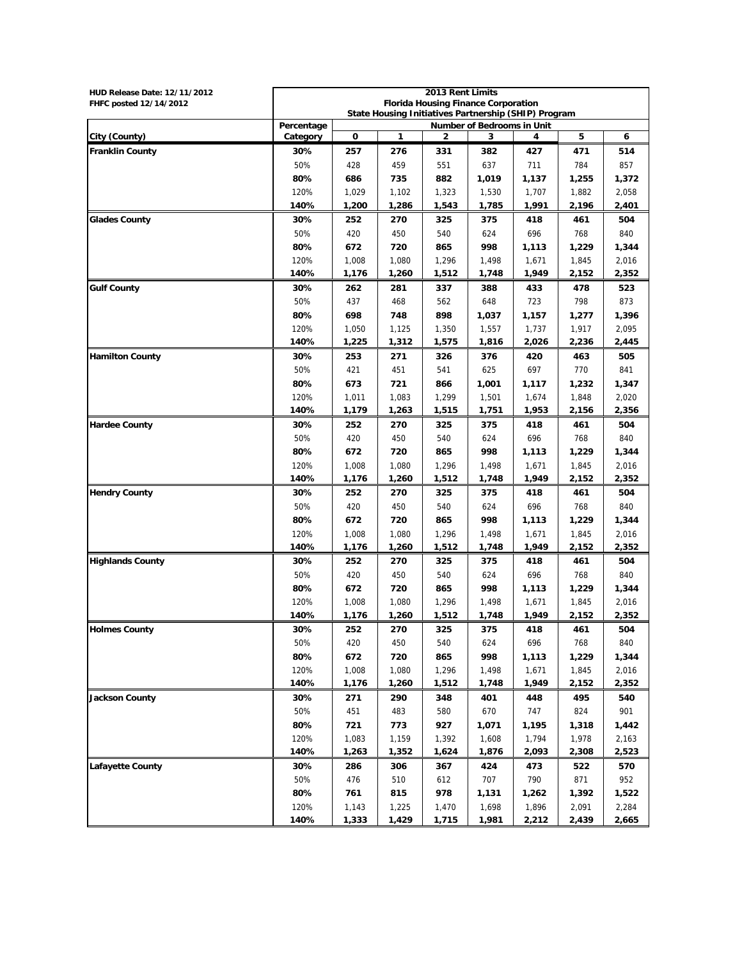| <b>Florida Housing Finance Corporation</b><br>FHFC posted 12/14/2012<br>State Housing Initiatives Partnership (SHIP) Program<br>Percentage<br>Number of Bedrooms in Unit<br>5<br>City (County)<br>0<br>1<br>6<br>Category<br>2<br>3<br>4<br><b>Franklin County</b><br>30%<br>257<br>471<br>514<br>276<br>331<br>382<br>427<br>50%<br>428<br>459<br>637<br>711<br>784<br>857<br>551<br>80%<br>686<br>735<br>882<br>1,019<br>1,137<br>1,255<br>1,372<br>120%<br>1,029<br>1,102<br>1,323<br>1,530<br>1,707<br>1,882<br>2,058<br>1,991<br>2,401<br>140%<br>1,200<br>1,286<br>1,543<br>1,785<br>2,196<br>30%<br><b>Glades County</b><br>252<br>270<br>325<br>375<br>418<br>461<br>504<br>50%<br>420<br>450<br>540<br>624<br>696<br>840<br>768<br>80%<br>672<br>720<br>998<br>1,344<br>865<br>1,113<br>1,229<br>120%<br>1,008<br>1,080<br>1,296<br>2,016<br>1,498<br>1,671<br>1,845<br>140%<br>1,176<br>1,260<br>1,512<br>1,748<br>1,949<br>2,152<br>2,352<br>30%<br><b>Gulf County</b><br>262<br>281<br>337<br>388<br>433<br>478<br>523<br>50%<br>437<br>648<br>723<br>798<br>873<br>468<br>562<br>898<br>80%<br>698<br>748<br>1,396<br>1,037<br>1,157<br>1,277<br>120%<br>1,050<br>1,350<br>1,917<br>2,095<br>1,125<br>1,557<br>1,737<br>140%<br>1,225<br>2,026<br>1,312<br>1,575<br>1,816<br>2,236<br>2,445<br><b>Hamilton County</b><br>30%<br>376<br>253<br>271<br>326<br>420<br>463<br>505<br>50%<br>421<br>451<br>541<br>625<br>697<br>770<br>841<br>80%<br>673<br>721<br>866<br>1,001<br>1,347<br>1,117<br>1,232<br>120%<br>1,011<br>1,083<br>1.299<br>1,501<br>1,674<br>1,848<br>2,020<br>140%<br>1,179<br>1,263<br>1,515<br>1,751<br>1,953<br>2,156<br>2,356<br><b>Hardee County</b><br>30%<br>270<br>325<br>375<br>418<br>461<br>504<br>252<br>50%<br>420<br>450<br>540<br>624<br>696<br>840<br>768<br>672<br>720<br>865<br>998<br>1,344<br>80%<br>1,113<br>1,229<br>120%<br>1,008<br>1,080<br>2,016<br>1,296<br>1,498<br>1,671<br>1,845<br>140%<br>1,176<br>1,260<br>1,512<br>1,748<br>1,949<br>2,152<br>2,352<br>30%<br>252<br>270<br>325<br>375<br>418<br>461<br>504<br><b>Hendry County</b><br>50%<br>420<br>450<br>540<br>696<br>840<br>624<br>768<br>80%<br>672<br>720<br>865<br>998<br>1,113<br>1,229<br>1,344<br>120%<br>1,008<br>2,016<br>1,080<br>1,296<br>1,498<br>1,671<br>1,845<br>140%<br>1,949<br>2,352<br>1,176<br>1,260<br>1,512<br>1,748<br>2,152<br>30%<br>252<br>270<br>418<br>504<br><b>Highlands County</b><br>325<br>375<br>461<br>50%<br>420<br>450<br>540<br>696<br>840<br>624<br>768<br>80%<br>672<br>720<br>998<br>865<br>1,113<br>1,229<br>1,344<br>120%<br>1,008<br>1,080<br>2,016<br>1,296<br>1,498<br>1,671<br>1,845<br>140%<br>1,176<br>1,260<br>1,512<br>1,748<br>1,949<br>2,152<br>2,352<br>30%<br><b>Holmes County</b><br>252<br>270<br>325<br>375<br>418<br>461<br>504<br>50%<br>420<br>450<br>540<br>696<br>768<br>840<br>624<br>80%<br>998<br>672<br>720<br>865<br>1,113<br>1,229<br>1,344<br>120%<br>1,008<br>1,080<br>1,296<br>1,498<br>1,671<br>1,845<br>2,016<br>140%<br>1,176<br>1,260<br>1,512<br>1,748<br>1,949<br>2,152<br>2,352<br><b>Jackson County</b><br>30%<br>271<br>290<br>348<br>495<br>540<br>401<br>448<br>901<br>50%<br>451<br>483<br>580<br>670<br>747<br>824<br>80%<br>721<br>773<br>927<br>1,071<br>1,195<br>1,318<br>1,442<br>120%<br>1,083<br>1,392<br>1,608<br>1,794<br>1,978<br>2,163<br>1,159<br>140%<br>1,263<br>1,352<br>1,624<br>1,876<br>2,093<br>2,308<br>2,523<br>Lafayette County<br>30%<br>286<br>306<br>367<br>424<br>473<br>522<br>570<br>50%<br>707<br>790<br>871<br>952<br>476<br>510<br>612<br>978<br>80%<br>761<br>815<br>1,131<br>1,262<br>1,392<br>1,522<br>120%<br>2,284<br>1,143<br>1,225<br>1,470<br>1,698<br>1,896<br>2,091<br>140%<br>1,333<br>1,429<br>1,715<br>1,981<br>2,212<br>2,439<br>2,665 | HUD Release Date: 12/11/2012 |  |  | 2013 Rent Limits |  |  |  |  |  |  |  |  |
|----------------------------------------------------------------------------------------------------------------------------------------------------------------------------------------------------------------------------------------------------------------------------------------------------------------------------------------------------------------------------------------------------------------------------------------------------------------------------------------------------------------------------------------------------------------------------------------------------------------------------------------------------------------------------------------------------------------------------------------------------------------------------------------------------------------------------------------------------------------------------------------------------------------------------------------------------------------------------------------------------------------------------------------------------------------------------------------------------------------------------------------------------------------------------------------------------------------------------------------------------------------------------------------------------------------------------------------------------------------------------------------------------------------------------------------------------------------------------------------------------------------------------------------------------------------------------------------------------------------------------------------------------------------------------------------------------------------------------------------------------------------------------------------------------------------------------------------------------------------------------------------------------------------------------------------------------------------------------------------------------------------------------------------------------------------------------------------------------------------------------------------------------------------------------------------------------------------------------------------------------------------------------------------------------------------------------------------------------------------------------------------------------------------------------------------------------------------------------------------------------------------------------------------------------------------------------------------------------------------------------------------------------------------------------------------------------------------------------------------------------------------------------------------------------------------------------------------------------------------------------------------------------------------------------------------------------------------------------------------------------------------------------------------------------------------------------------------------------------------------------------------------------------------------------------------------------------------------------------------------------------------------------------------------------------------------------------------------------------------------------------------------------------------------------------------------------------------------------------------------------------------------------------------------------------------------------------------------------------------------------------------------------------------------------------------------------------------------------------------------------------------------------------------------|------------------------------|--|--|------------------|--|--|--|--|--|--|--|--|
|                                                                                                                                                                                                                                                                                                                                                                                                                                                                                                                                                                                                                                                                                                                                                                                                                                                                                                                                                                                                                                                                                                                                                                                                                                                                                                                                                                                                                                                                                                                                                                                                                                                                                                                                                                                                                                                                                                                                                                                                                                                                                                                                                                                                                                                                                                                                                                                                                                                                                                                                                                                                                                                                                                                                                                                                                                                                                                                                                                                                                                                                                                                                                                                                                                                                                                                                                                                                                                                                                                                                                                                                                                                                                                                                                                                              |                              |  |  |                  |  |  |  |  |  |  |  |  |
|                                                                                                                                                                                                                                                                                                                                                                                                                                                                                                                                                                                                                                                                                                                                                                                                                                                                                                                                                                                                                                                                                                                                                                                                                                                                                                                                                                                                                                                                                                                                                                                                                                                                                                                                                                                                                                                                                                                                                                                                                                                                                                                                                                                                                                                                                                                                                                                                                                                                                                                                                                                                                                                                                                                                                                                                                                                                                                                                                                                                                                                                                                                                                                                                                                                                                                                                                                                                                                                                                                                                                                                                                                                                                                                                                                                              |                              |  |  |                  |  |  |  |  |  |  |  |  |
|                                                                                                                                                                                                                                                                                                                                                                                                                                                                                                                                                                                                                                                                                                                                                                                                                                                                                                                                                                                                                                                                                                                                                                                                                                                                                                                                                                                                                                                                                                                                                                                                                                                                                                                                                                                                                                                                                                                                                                                                                                                                                                                                                                                                                                                                                                                                                                                                                                                                                                                                                                                                                                                                                                                                                                                                                                                                                                                                                                                                                                                                                                                                                                                                                                                                                                                                                                                                                                                                                                                                                                                                                                                                                                                                                                                              |                              |  |  |                  |  |  |  |  |  |  |  |  |
|                                                                                                                                                                                                                                                                                                                                                                                                                                                                                                                                                                                                                                                                                                                                                                                                                                                                                                                                                                                                                                                                                                                                                                                                                                                                                                                                                                                                                                                                                                                                                                                                                                                                                                                                                                                                                                                                                                                                                                                                                                                                                                                                                                                                                                                                                                                                                                                                                                                                                                                                                                                                                                                                                                                                                                                                                                                                                                                                                                                                                                                                                                                                                                                                                                                                                                                                                                                                                                                                                                                                                                                                                                                                                                                                                                                              |                              |  |  |                  |  |  |  |  |  |  |  |  |
|                                                                                                                                                                                                                                                                                                                                                                                                                                                                                                                                                                                                                                                                                                                                                                                                                                                                                                                                                                                                                                                                                                                                                                                                                                                                                                                                                                                                                                                                                                                                                                                                                                                                                                                                                                                                                                                                                                                                                                                                                                                                                                                                                                                                                                                                                                                                                                                                                                                                                                                                                                                                                                                                                                                                                                                                                                                                                                                                                                                                                                                                                                                                                                                                                                                                                                                                                                                                                                                                                                                                                                                                                                                                                                                                                                                              |                              |  |  |                  |  |  |  |  |  |  |  |  |
|                                                                                                                                                                                                                                                                                                                                                                                                                                                                                                                                                                                                                                                                                                                                                                                                                                                                                                                                                                                                                                                                                                                                                                                                                                                                                                                                                                                                                                                                                                                                                                                                                                                                                                                                                                                                                                                                                                                                                                                                                                                                                                                                                                                                                                                                                                                                                                                                                                                                                                                                                                                                                                                                                                                                                                                                                                                                                                                                                                                                                                                                                                                                                                                                                                                                                                                                                                                                                                                                                                                                                                                                                                                                                                                                                                                              |                              |  |  |                  |  |  |  |  |  |  |  |  |
|                                                                                                                                                                                                                                                                                                                                                                                                                                                                                                                                                                                                                                                                                                                                                                                                                                                                                                                                                                                                                                                                                                                                                                                                                                                                                                                                                                                                                                                                                                                                                                                                                                                                                                                                                                                                                                                                                                                                                                                                                                                                                                                                                                                                                                                                                                                                                                                                                                                                                                                                                                                                                                                                                                                                                                                                                                                                                                                                                                                                                                                                                                                                                                                                                                                                                                                                                                                                                                                                                                                                                                                                                                                                                                                                                                                              |                              |  |  |                  |  |  |  |  |  |  |  |  |
|                                                                                                                                                                                                                                                                                                                                                                                                                                                                                                                                                                                                                                                                                                                                                                                                                                                                                                                                                                                                                                                                                                                                                                                                                                                                                                                                                                                                                                                                                                                                                                                                                                                                                                                                                                                                                                                                                                                                                                                                                                                                                                                                                                                                                                                                                                                                                                                                                                                                                                                                                                                                                                                                                                                                                                                                                                                                                                                                                                                                                                                                                                                                                                                                                                                                                                                                                                                                                                                                                                                                                                                                                                                                                                                                                                                              |                              |  |  |                  |  |  |  |  |  |  |  |  |
|                                                                                                                                                                                                                                                                                                                                                                                                                                                                                                                                                                                                                                                                                                                                                                                                                                                                                                                                                                                                                                                                                                                                                                                                                                                                                                                                                                                                                                                                                                                                                                                                                                                                                                                                                                                                                                                                                                                                                                                                                                                                                                                                                                                                                                                                                                                                                                                                                                                                                                                                                                                                                                                                                                                                                                                                                                                                                                                                                                                                                                                                                                                                                                                                                                                                                                                                                                                                                                                                                                                                                                                                                                                                                                                                                                                              |                              |  |  |                  |  |  |  |  |  |  |  |  |
|                                                                                                                                                                                                                                                                                                                                                                                                                                                                                                                                                                                                                                                                                                                                                                                                                                                                                                                                                                                                                                                                                                                                                                                                                                                                                                                                                                                                                                                                                                                                                                                                                                                                                                                                                                                                                                                                                                                                                                                                                                                                                                                                                                                                                                                                                                                                                                                                                                                                                                                                                                                                                                                                                                                                                                                                                                                                                                                                                                                                                                                                                                                                                                                                                                                                                                                                                                                                                                                                                                                                                                                                                                                                                                                                                                                              |                              |  |  |                  |  |  |  |  |  |  |  |  |
|                                                                                                                                                                                                                                                                                                                                                                                                                                                                                                                                                                                                                                                                                                                                                                                                                                                                                                                                                                                                                                                                                                                                                                                                                                                                                                                                                                                                                                                                                                                                                                                                                                                                                                                                                                                                                                                                                                                                                                                                                                                                                                                                                                                                                                                                                                                                                                                                                                                                                                                                                                                                                                                                                                                                                                                                                                                                                                                                                                                                                                                                                                                                                                                                                                                                                                                                                                                                                                                                                                                                                                                                                                                                                                                                                                                              |                              |  |  |                  |  |  |  |  |  |  |  |  |
|                                                                                                                                                                                                                                                                                                                                                                                                                                                                                                                                                                                                                                                                                                                                                                                                                                                                                                                                                                                                                                                                                                                                                                                                                                                                                                                                                                                                                                                                                                                                                                                                                                                                                                                                                                                                                                                                                                                                                                                                                                                                                                                                                                                                                                                                                                                                                                                                                                                                                                                                                                                                                                                                                                                                                                                                                                                                                                                                                                                                                                                                                                                                                                                                                                                                                                                                                                                                                                                                                                                                                                                                                                                                                                                                                                                              |                              |  |  |                  |  |  |  |  |  |  |  |  |
|                                                                                                                                                                                                                                                                                                                                                                                                                                                                                                                                                                                                                                                                                                                                                                                                                                                                                                                                                                                                                                                                                                                                                                                                                                                                                                                                                                                                                                                                                                                                                                                                                                                                                                                                                                                                                                                                                                                                                                                                                                                                                                                                                                                                                                                                                                                                                                                                                                                                                                                                                                                                                                                                                                                                                                                                                                                                                                                                                                                                                                                                                                                                                                                                                                                                                                                                                                                                                                                                                                                                                                                                                                                                                                                                                                                              |                              |  |  |                  |  |  |  |  |  |  |  |  |
|                                                                                                                                                                                                                                                                                                                                                                                                                                                                                                                                                                                                                                                                                                                                                                                                                                                                                                                                                                                                                                                                                                                                                                                                                                                                                                                                                                                                                                                                                                                                                                                                                                                                                                                                                                                                                                                                                                                                                                                                                                                                                                                                                                                                                                                                                                                                                                                                                                                                                                                                                                                                                                                                                                                                                                                                                                                                                                                                                                                                                                                                                                                                                                                                                                                                                                                                                                                                                                                                                                                                                                                                                                                                                                                                                                                              |                              |  |  |                  |  |  |  |  |  |  |  |  |
|                                                                                                                                                                                                                                                                                                                                                                                                                                                                                                                                                                                                                                                                                                                                                                                                                                                                                                                                                                                                                                                                                                                                                                                                                                                                                                                                                                                                                                                                                                                                                                                                                                                                                                                                                                                                                                                                                                                                                                                                                                                                                                                                                                                                                                                                                                                                                                                                                                                                                                                                                                                                                                                                                                                                                                                                                                                                                                                                                                                                                                                                                                                                                                                                                                                                                                                                                                                                                                                                                                                                                                                                                                                                                                                                                                                              |                              |  |  |                  |  |  |  |  |  |  |  |  |
|                                                                                                                                                                                                                                                                                                                                                                                                                                                                                                                                                                                                                                                                                                                                                                                                                                                                                                                                                                                                                                                                                                                                                                                                                                                                                                                                                                                                                                                                                                                                                                                                                                                                                                                                                                                                                                                                                                                                                                                                                                                                                                                                                                                                                                                                                                                                                                                                                                                                                                                                                                                                                                                                                                                                                                                                                                                                                                                                                                                                                                                                                                                                                                                                                                                                                                                                                                                                                                                                                                                                                                                                                                                                                                                                                                                              |                              |  |  |                  |  |  |  |  |  |  |  |  |
|                                                                                                                                                                                                                                                                                                                                                                                                                                                                                                                                                                                                                                                                                                                                                                                                                                                                                                                                                                                                                                                                                                                                                                                                                                                                                                                                                                                                                                                                                                                                                                                                                                                                                                                                                                                                                                                                                                                                                                                                                                                                                                                                                                                                                                                                                                                                                                                                                                                                                                                                                                                                                                                                                                                                                                                                                                                                                                                                                                                                                                                                                                                                                                                                                                                                                                                                                                                                                                                                                                                                                                                                                                                                                                                                                                                              |                              |  |  |                  |  |  |  |  |  |  |  |  |
|                                                                                                                                                                                                                                                                                                                                                                                                                                                                                                                                                                                                                                                                                                                                                                                                                                                                                                                                                                                                                                                                                                                                                                                                                                                                                                                                                                                                                                                                                                                                                                                                                                                                                                                                                                                                                                                                                                                                                                                                                                                                                                                                                                                                                                                                                                                                                                                                                                                                                                                                                                                                                                                                                                                                                                                                                                                                                                                                                                                                                                                                                                                                                                                                                                                                                                                                                                                                                                                                                                                                                                                                                                                                                                                                                                                              |                              |  |  |                  |  |  |  |  |  |  |  |  |
|                                                                                                                                                                                                                                                                                                                                                                                                                                                                                                                                                                                                                                                                                                                                                                                                                                                                                                                                                                                                                                                                                                                                                                                                                                                                                                                                                                                                                                                                                                                                                                                                                                                                                                                                                                                                                                                                                                                                                                                                                                                                                                                                                                                                                                                                                                                                                                                                                                                                                                                                                                                                                                                                                                                                                                                                                                                                                                                                                                                                                                                                                                                                                                                                                                                                                                                                                                                                                                                                                                                                                                                                                                                                                                                                                                                              |                              |  |  |                  |  |  |  |  |  |  |  |  |
|                                                                                                                                                                                                                                                                                                                                                                                                                                                                                                                                                                                                                                                                                                                                                                                                                                                                                                                                                                                                                                                                                                                                                                                                                                                                                                                                                                                                                                                                                                                                                                                                                                                                                                                                                                                                                                                                                                                                                                                                                                                                                                                                                                                                                                                                                                                                                                                                                                                                                                                                                                                                                                                                                                                                                                                                                                                                                                                                                                                                                                                                                                                                                                                                                                                                                                                                                                                                                                                                                                                                                                                                                                                                                                                                                                                              |                              |  |  |                  |  |  |  |  |  |  |  |  |
|                                                                                                                                                                                                                                                                                                                                                                                                                                                                                                                                                                                                                                                                                                                                                                                                                                                                                                                                                                                                                                                                                                                                                                                                                                                                                                                                                                                                                                                                                                                                                                                                                                                                                                                                                                                                                                                                                                                                                                                                                                                                                                                                                                                                                                                                                                                                                                                                                                                                                                                                                                                                                                                                                                                                                                                                                                                                                                                                                                                                                                                                                                                                                                                                                                                                                                                                                                                                                                                                                                                                                                                                                                                                                                                                                                                              |                              |  |  |                  |  |  |  |  |  |  |  |  |
|                                                                                                                                                                                                                                                                                                                                                                                                                                                                                                                                                                                                                                                                                                                                                                                                                                                                                                                                                                                                                                                                                                                                                                                                                                                                                                                                                                                                                                                                                                                                                                                                                                                                                                                                                                                                                                                                                                                                                                                                                                                                                                                                                                                                                                                                                                                                                                                                                                                                                                                                                                                                                                                                                                                                                                                                                                                                                                                                                                                                                                                                                                                                                                                                                                                                                                                                                                                                                                                                                                                                                                                                                                                                                                                                                                                              |                              |  |  |                  |  |  |  |  |  |  |  |  |
|                                                                                                                                                                                                                                                                                                                                                                                                                                                                                                                                                                                                                                                                                                                                                                                                                                                                                                                                                                                                                                                                                                                                                                                                                                                                                                                                                                                                                                                                                                                                                                                                                                                                                                                                                                                                                                                                                                                                                                                                                                                                                                                                                                                                                                                                                                                                                                                                                                                                                                                                                                                                                                                                                                                                                                                                                                                                                                                                                                                                                                                                                                                                                                                                                                                                                                                                                                                                                                                                                                                                                                                                                                                                                                                                                                                              |                              |  |  |                  |  |  |  |  |  |  |  |  |
|                                                                                                                                                                                                                                                                                                                                                                                                                                                                                                                                                                                                                                                                                                                                                                                                                                                                                                                                                                                                                                                                                                                                                                                                                                                                                                                                                                                                                                                                                                                                                                                                                                                                                                                                                                                                                                                                                                                                                                                                                                                                                                                                                                                                                                                                                                                                                                                                                                                                                                                                                                                                                                                                                                                                                                                                                                                                                                                                                                                                                                                                                                                                                                                                                                                                                                                                                                                                                                                                                                                                                                                                                                                                                                                                                                                              |                              |  |  |                  |  |  |  |  |  |  |  |  |
|                                                                                                                                                                                                                                                                                                                                                                                                                                                                                                                                                                                                                                                                                                                                                                                                                                                                                                                                                                                                                                                                                                                                                                                                                                                                                                                                                                                                                                                                                                                                                                                                                                                                                                                                                                                                                                                                                                                                                                                                                                                                                                                                                                                                                                                                                                                                                                                                                                                                                                                                                                                                                                                                                                                                                                                                                                                                                                                                                                                                                                                                                                                                                                                                                                                                                                                                                                                                                                                                                                                                                                                                                                                                                                                                                                                              |                              |  |  |                  |  |  |  |  |  |  |  |  |
|                                                                                                                                                                                                                                                                                                                                                                                                                                                                                                                                                                                                                                                                                                                                                                                                                                                                                                                                                                                                                                                                                                                                                                                                                                                                                                                                                                                                                                                                                                                                                                                                                                                                                                                                                                                                                                                                                                                                                                                                                                                                                                                                                                                                                                                                                                                                                                                                                                                                                                                                                                                                                                                                                                                                                                                                                                                                                                                                                                                                                                                                                                                                                                                                                                                                                                                                                                                                                                                                                                                                                                                                                                                                                                                                                                                              |                              |  |  |                  |  |  |  |  |  |  |  |  |
|                                                                                                                                                                                                                                                                                                                                                                                                                                                                                                                                                                                                                                                                                                                                                                                                                                                                                                                                                                                                                                                                                                                                                                                                                                                                                                                                                                                                                                                                                                                                                                                                                                                                                                                                                                                                                                                                                                                                                                                                                                                                                                                                                                                                                                                                                                                                                                                                                                                                                                                                                                                                                                                                                                                                                                                                                                                                                                                                                                                                                                                                                                                                                                                                                                                                                                                                                                                                                                                                                                                                                                                                                                                                                                                                                                                              |                              |  |  |                  |  |  |  |  |  |  |  |  |
|                                                                                                                                                                                                                                                                                                                                                                                                                                                                                                                                                                                                                                                                                                                                                                                                                                                                                                                                                                                                                                                                                                                                                                                                                                                                                                                                                                                                                                                                                                                                                                                                                                                                                                                                                                                                                                                                                                                                                                                                                                                                                                                                                                                                                                                                                                                                                                                                                                                                                                                                                                                                                                                                                                                                                                                                                                                                                                                                                                                                                                                                                                                                                                                                                                                                                                                                                                                                                                                                                                                                                                                                                                                                                                                                                                                              |                              |  |  |                  |  |  |  |  |  |  |  |  |
|                                                                                                                                                                                                                                                                                                                                                                                                                                                                                                                                                                                                                                                                                                                                                                                                                                                                                                                                                                                                                                                                                                                                                                                                                                                                                                                                                                                                                                                                                                                                                                                                                                                                                                                                                                                                                                                                                                                                                                                                                                                                                                                                                                                                                                                                                                                                                                                                                                                                                                                                                                                                                                                                                                                                                                                                                                                                                                                                                                                                                                                                                                                                                                                                                                                                                                                                                                                                                                                                                                                                                                                                                                                                                                                                                                                              |                              |  |  |                  |  |  |  |  |  |  |  |  |
|                                                                                                                                                                                                                                                                                                                                                                                                                                                                                                                                                                                                                                                                                                                                                                                                                                                                                                                                                                                                                                                                                                                                                                                                                                                                                                                                                                                                                                                                                                                                                                                                                                                                                                                                                                                                                                                                                                                                                                                                                                                                                                                                                                                                                                                                                                                                                                                                                                                                                                                                                                                                                                                                                                                                                                                                                                                                                                                                                                                                                                                                                                                                                                                                                                                                                                                                                                                                                                                                                                                                                                                                                                                                                                                                                                                              |                              |  |  |                  |  |  |  |  |  |  |  |  |
|                                                                                                                                                                                                                                                                                                                                                                                                                                                                                                                                                                                                                                                                                                                                                                                                                                                                                                                                                                                                                                                                                                                                                                                                                                                                                                                                                                                                                                                                                                                                                                                                                                                                                                                                                                                                                                                                                                                                                                                                                                                                                                                                                                                                                                                                                                                                                                                                                                                                                                                                                                                                                                                                                                                                                                                                                                                                                                                                                                                                                                                                                                                                                                                                                                                                                                                                                                                                                                                                                                                                                                                                                                                                                                                                                                                              |                              |  |  |                  |  |  |  |  |  |  |  |  |
|                                                                                                                                                                                                                                                                                                                                                                                                                                                                                                                                                                                                                                                                                                                                                                                                                                                                                                                                                                                                                                                                                                                                                                                                                                                                                                                                                                                                                                                                                                                                                                                                                                                                                                                                                                                                                                                                                                                                                                                                                                                                                                                                                                                                                                                                                                                                                                                                                                                                                                                                                                                                                                                                                                                                                                                                                                                                                                                                                                                                                                                                                                                                                                                                                                                                                                                                                                                                                                                                                                                                                                                                                                                                                                                                                                                              |                              |  |  |                  |  |  |  |  |  |  |  |  |
|                                                                                                                                                                                                                                                                                                                                                                                                                                                                                                                                                                                                                                                                                                                                                                                                                                                                                                                                                                                                                                                                                                                                                                                                                                                                                                                                                                                                                                                                                                                                                                                                                                                                                                                                                                                                                                                                                                                                                                                                                                                                                                                                                                                                                                                                                                                                                                                                                                                                                                                                                                                                                                                                                                                                                                                                                                                                                                                                                                                                                                                                                                                                                                                                                                                                                                                                                                                                                                                                                                                                                                                                                                                                                                                                                                                              |                              |  |  |                  |  |  |  |  |  |  |  |  |
|                                                                                                                                                                                                                                                                                                                                                                                                                                                                                                                                                                                                                                                                                                                                                                                                                                                                                                                                                                                                                                                                                                                                                                                                                                                                                                                                                                                                                                                                                                                                                                                                                                                                                                                                                                                                                                                                                                                                                                                                                                                                                                                                                                                                                                                                                                                                                                                                                                                                                                                                                                                                                                                                                                                                                                                                                                                                                                                                                                                                                                                                                                                                                                                                                                                                                                                                                                                                                                                                                                                                                                                                                                                                                                                                                                                              |                              |  |  |                  |  |  |  |  |  |  |  |  |
|                                                                                                                                                                                                                                                                                                                                                                                                                                                                                                                                                                                                                                                                                                                                                                                                                                                                                                                                                                                                                                                                                                                                                                                                                                                                                                                                                                                                                                                                                                                                                                                                                                                                                                                                                                                                                                                                                                                                                                                                                                                                                                                                                                                                                                                                                                                                                                                                                                                                                                                                                                                                                                                                                                                                                                                                                                                                                                                                                                                                                                                                                                                                                                                                                                                                                                                                                                                                                                                                                                                                                                                                                                                                                                                                                                                              |                              |  |  |                  |  |  |  |  |  |  |  |  |
|                                                                                                                                                                                                                                                                                                                                                                                                                                                                                                                                                                                                                                                                                                                                                                                                                                                                                                                                                                                                                                                                                                                                                                                                                                                                                                                                                                                                                                                                                                                                                                                                                                                                                                                                                                                                                                                                                                                                                                                                                                                                                                                                                                                                                                                                                                                                                                                                                                                                                                                                                                                                                                                                                                                                                                                                                                                                                                                                                                                                                                                                                                                                                                                                                                                                                                                                                                                                                                                                                                                                                                                                                                                                                                                                                                                              |                              |  |  |                  |  |  |  |  |  |  |  |  |
|                                                                                                                                                                                                                                                                                                                                                                                                                                                                                                                                                                                                                                                                                                                                                                                                                                                                                                                                                                                                                                                                                                                                                                                                                                                                                                                                                                                                                                                                                                                                                                                                                                                                                                                                                                                                                                                                                                                                                                                                                                                                                                                                                                                                                                                                                                                                                                                                                                                                                                                                                                                                                                                                                                                                                                                                                                                                                                                                                                                                                                                                                                                                                                                                                                                                                                                                                                                                                                                                                                                                                                                                                                                                                                                                                                                              |                              |  |  |                  |  |  |  |  |  |  |  |  |
|                                                                                                                                                                                                                                                                                                                                                                                                                                                                                                                                                                                                                                                                                                                                                                                                                                                                                                                                                                                                                                                                                                                                                                                                                                                                                                                                                                                                                                                                                                                                                                                                                                                                                                                                                                                                                                                                                                                                                                                                                                                                                                                                                                                                                                                                                                                                                                                                                                                                                                                                                                                                                                                                                                                                                                                                                                                                                                                                                                                                                                                                                                                                                                                                                                                                                                                                                                                                                                                                                                                                                                                                                                                                                                                                                                                              |                              |  |  |                  |  |  |  |  |  |  |  |  |
|                                                                                                                                                                                                                                                                                                                                                                                                                                                                                                                                                                                                                                                                                                                                                                                                                                                                                                                                                                                                                                                                                                                                                                                                                                                                                                                                                                                                                                                                                                                                                                                                                                                                                                                                                                                                                                                                                                                                                                                                                                                                                                                                                                                                                                                                                                                                                                                                                                                                                                                                                                                                                                                                                                                                                                                                                                                                                                                                                                                                                                                                                                                                                                                                                                                                                                                                                                                                                                                                                                                                                                                                                                                                                                                                                                                              |                              |  |  |                  |  |  |  |  |  |  |  |  |
|                                                                                                                                                                                                                                                                                                                                                                                                                                                                                                                                                                                                                                                                                                                                                                                                                                                                                                                                                                                                                                                                                                                                                                                                                                                                                                                                                                                                                                                                                                                                                                                                                                                                                                                                                                                                                                                                                                                                                                                                                                                                                                                                                                                                                                                                                                                                                                                                                                                                                                                                                                                                                                                                                                                                                                                                                                                                                                                                                                                                                                                                                                                                                                                                                                                                                                                                                                                                                                                                                                                                                                                                                                                                                                                                                                                              |                              |  |  |                  |  |  |  |  |  |  |  |  |
|                                                                                                                                                                                                                                                                                                                                                                                                                                                                                                                                                                                                                                                                                                                                                                                                                                                                                                                                                                                                                                                                                                                                                                                                                                                                                                                                                                                                                                                                                                                                                                                                                                                                                                                                                                                                                                                                                                                                                                                                                                                                                                                                                                                                                                                                                                                                                                                                                                                                                                                                                                                                                                                                                                                                                                                                                                                                                                                                                                                                                                                                                                                                                                                                                                                                                                                                                                                                                                                                                                                                                                                                                                                                                                                                                                                              |                              |  |  |                  |  |  |  |  |  |  |  |  |
|                                                                                                                                                                                                                                                                                                                                                                                                                                                                                                                                                                                                                                                                                                                                                                                                                                                                                                                                                                                                                                                                                                                                                                                                                                                                                                                                                                                                                                                                                                                                                                                                                                                                                                                                                                                                                                                                                                                                                                                                                                                                                                                                                                                                                                                                                                                                                                                                                                                                                                                                                                                                                                                                                                                                                                                                                                                                                                                                                                                                                                                                                                                                                                                                                                                                                                                                                                                                                                                                                                                                                                                                                                                                                                                                                                                              |                              |  |  |                  |  |  |  |  |  |  |  |  |
|                                                                                                                                                                                                                                                                                                                                                                                                                                                                                                                                                                                                                                                                                                                                                                                                                                                                                                                                                                                                                                                                                                                                                                                                                                                                                                                                                                                                                                                                                                                                                                                                                                                                                                                                                                                                                                                                                                                                                                                                                                                                                                                                                                                                                                                                                                                                                                                                                                                                                                                                                                                                                                                                                                                                                                                                                                                                                                                                                                                                                                                                                                                                                                                                                                                                                                                                                                                                                                                                                                                                                                                                                                                                                                                                                                                              |                              |  |  |                  |  |  |  |  |  |  |  |  |
|                                                                                                                                                                                                                                                                                                                                                                                                                                                                                                                                                                                                                                                                                                                                                                                                                                                                                                                                                                                                                                                                                                                                                                                                                                                                                                                                                                                                                                                                                                                                                                                                                                                                                                                                                                                                                                                                                                                                                                                                                                                                                                                                                                                                                                                                                                                                                                                                                                                                                                                                                                                                                                                                                                                                                                                                                                                                                                                                                                                                                                                                                                                                                                                                                                                                                                                                                                                                                                                                                                                                                                                                                                                                                                                                                                                              |                              |  |  |                  |  |  |  |  |  |  |  |  |
|                                                                                                                                                                                                                                                                                                                                                                                                                                                                                                                                                                                                                                                                                                                                                                                                                                                                                                                                                                                                                                                                                                                                                                                                                                                                                                                                                                                                                                                                                                                                                                                                                                                                                                                                                                                                                                                                                                                                                                                                                                                                                                                                                                                                                                                                                                                                                                                                                                                                                                                                                                                                                                                                                                                                                                                                                                                                                                                                                                                                                                                                                                                                                                                                                                                                                                                                                                                                                                                                                                                                                                                                                                                                                                                                                                                              |                              |  |  |                  |  |  |  |  |  |  |  |  |
|                                                                                                                                                                                                                                                                                                                                                                                                                                                                                                                                                                                                                                                                                                                                                                                                                                                                                                                                                                                                                                                                                                                                                                                                                                                                                                                                                                                                                                                                                                                                                                                                                                                                                                                                                                                                                                                                                                                                                                                                                                                                                                                                                                                                                                                                                                                                                                                                                                                                                                                                                                                                                                                                                                                                                                                                                                                                                                                                                                                                                                                                                                                                                                                                                                                                                                                                                                                                                                                                                                                                                                                                                                                                                                                                                                                              |                              |  |  |                  |  |  |  |  |  |  |  |  |
|                                                                                                                                                                                                                                                                                                                                                                                                                                                                                                                                                                                                                                                                                                                                                                                                                                                                                                                                                                                                                                                                                                                                                                                                                                                                                                                                                                                                                                                                                                                                                                                                                                                                                                                                                                                                                                                                                                                                                                                                                                                                                                                                                                                                                                                                                                                                                                                                                                                                                                                                                                                                                                                                                                                                                                                                                                                                                                                                                                                                                                                                                                                                                                                                                                                                                                                                                                                                                                                                                                                                                                                                                                                                                                                                                                                              |                              |  |  |                  |  |  |  |  |  |  |  |  |
|                                                                                                                                                                                                                                                                                                                                                                                                                                                                                                                                                                                                                                                                                                                                                                                                                                                                                                                                                                                                                                                                                                                                                                                                                                                                                                                                                                                                                                                                                                                                                                                                                                                                                                                                                                                                                                                                                                                                                                                                                                                                                                                                                                                                                                                                                                                                                                                                                                                                                                                                                                                                                                                                                                                                                                                                                                                                                                                                                                                                                                                                                                                                                                                                                                                                                                                                                                                                                                                                                                                                                                                                                                                                                                                                                                                              |                              |  |  |                  |  |  |  |  |  |  |  |  |
|                                                                                                                                                                                                                                                                                                                                                                                                                                                                                                                                                                                                                                                                                                                                                                                                                                                                                                                                                                                                                                                                                                                                                                                                                                                                                                                                                                                                                                                                                                                                                                                                                                                                                                                                                                                                                                                                                                                                                                                                                                                                                                                                                                                                                                                                                                                                                                                                                                                                                                                                                                                                                                                                                                                                                                                                                                                                                                                                                                                                                                                                                                                                                                                                                                                                                                                                                                                                                                                                                                                                                                                                                                                                                                                                                                                              |                              |  |  |                  |  |  |  |  |  |  |  |  |
|                                                                                                                                                                                                                                                                                                                                                                                                                                                                                                                                                                                                                                                                                                                                                                                                                                                                                                                                                                                                                                                                                                                                                                                                                                                                                                                                                                                                                                                                                                                                                                                                                                                                                                                                                                                                                                                                                                                                                                                                                                                                                                                                                                                                                                                                                                                                                                                                                                                                                                                                                                                                                                                                                                                                                                                                                                                                                                                                                                                                                                                                                                                                                                                                                                                                                                                                                                                                                                                                                                                                                                                                                                                                                                                                                                                              |                              |  |  |                  |  |  |  |  |  |  |  |  |
|                                                                                                                                                                                                                                                                                                                                                                                                                                                                                                                                                                                                                                                                                                                                                                                                                                                                                                                                                                                                                                                                                                                                                                                                                                                                                                                                                                                                                                                                                                                                                                                                                                                                                                                                                                                                                                                                                                                                                                                                                                                                                                                                                                                                                                                                                                                                                                                                                                                                                                                                                                                                                                                                                                                                                                                                                                                                                                                                                                                                                                                                                                                                                                                                                                                                                                                                                                                                                                                                                                                                                                                                                                                                                                                                                                                              |                              |  |  |                  |  |  |  |  |  |  |  |  |
|                                                                                                                                                                                                                                                                                                                                                                                                                                                                                                                                                                                                                                                                                                                                                                                                                                                                                                                                                                                                                                                                                                                                                                                                                                                                                                                                                                                                                                                                                                                                                                                                                                                                                                                                                                                                                                                                                                                                                                                                                                                                                                                                                                                                                                                                                                                                                                                                                                                                                                                                                                                                                                                                                                                                                                                                                                                                                                                                                                                                                                                                                                                                                                                                                                                                                                                                                                                                                                                                                                                                                                                                                                                                                                                                                                                              |                              |  |  |                  |  |  |  |  |  |  |  |  |
|                                                                                                                                                                                                                                                                                                                                                                                                                                                                                                                                                                                                                                                                                                                                                                                                                                                                                                                                                                                                                                                                                                                                                                                                                                                                                                                                                                                                                                                                                                                                                                                                                                                                                                                                                                                                                                                                                                                                                                                                                                                                                                                                                                                                                                                                                                                                                                                                                                                                                                                                                                                                                                                                                                                                                                                                                                                                                                                                                                                                                                                                                                                                                                                                                                                                                                                                                                                                                                                                                                                                                                                                                                                                                                                                                                                              |                              |  |  |                  |  |  |  |  |  |  |  |  |
|                                                                                                                                                                                                                                                                                                                                                                                                                                                                                                                                                                                                                                                                                                                                                                                                                                                                                                                                                                                                                                                                                                                                                                                                                                                                                                                                                                                                                                                                                                                                                                                                                                                                                                                                                                                                                                                                                                                                                                                                                                                                                                                                                                                                                                                                                                                                                                                                                                                                                                                                                                                                                                                                                                                                                                                                                                                                                                                                                                                                                                                                                                                                                                                                                                                                                                                                                                                                                                                                                                                                                                                                                                                                                                                                                                                              |                              |  |  |                  |  |  |  |  |  |  |  |  |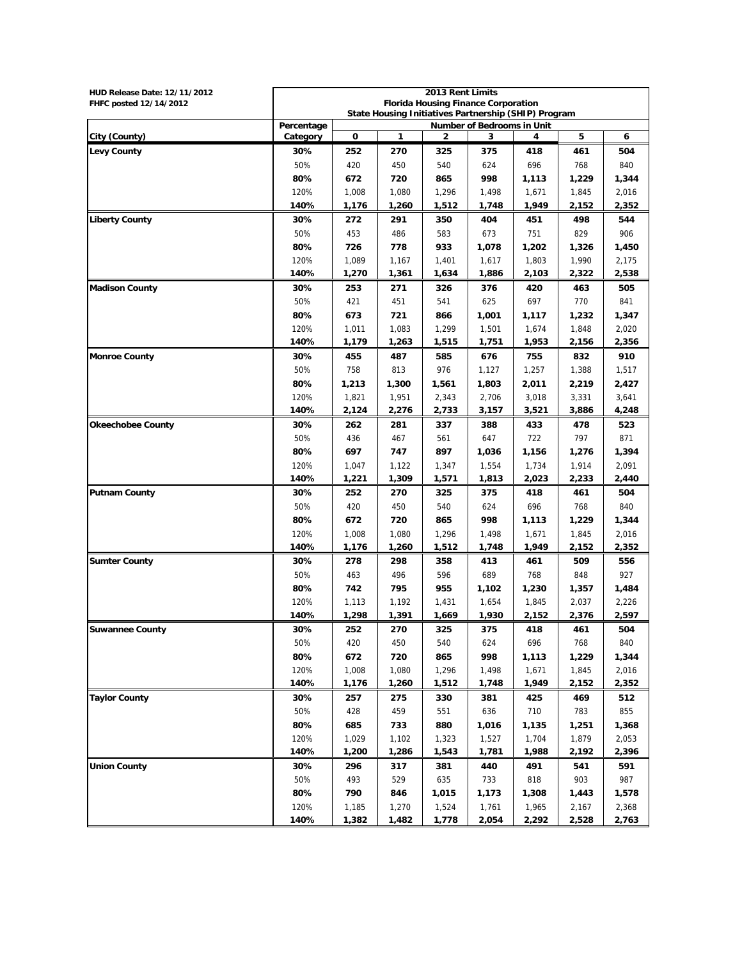| HUD Release Date: 12/11/2012 |                                                                                    |       |       | 2013 Rent Limits                           |       |       |       |       |  |  |  |
|------------------------------|------------------------------------------------------------------------------------|-------|-------|--------------------------------------------|-------|-------|-------|-------|--|--|--|
| FHFC posted 12/14/2012       |                                                                                    |       |       | <b>Florida Housing Finance Corporation</b> |       |       |       |       |  |  |  |
|                              | State Housing Initiatives Partnership (SHIP) Program<br>Number of Bedrooms in Unit |       |       |                                            |       |       |       |       |  |  |  |
| City (County)                | Percentage<br>Category                                                             | 0     | 1     | 2                                          | 3     | 4     | 5     | 6     |  |  |  |
|                              |                                                                                    |       |       |                                            |       |       |       |       |  |  |  |
| <b>Levy County</b>           | 30%                                                                                | 252   | 270   | 325                                        | 375   | 418   | 461   | 504   |  |  |  |
|                              | 50%                                                                                | 420   | 450   | 540                                        | 624   | 696   | 768   | 840   |  |  |  |
|                              | 80%                                                                                | 672   | 720   | 865                                        | 998   | 1,113 | 1,229 | 1,344 |  |  |  |
|                              | 120%                                                                               | 1,008 | 1,080 | 1,296                                      | 1,498 | 1,671 | 1,845 | 2,016 |  |  |  |
|                              | 140%                                                                               | 1,176 | 1,260 | 1,512                                      | 1,748 | 1,949 | 2,152 | 2,352 |  |  |  |
| <b>Liberty County</b>        | 30%                                                                                | 272   | 291   | 350                                        | 404   | 451   | 498   | 544   |  |  |  |
|                              | 50%                                                                                | 453   | 486   | 583                                        | 673   | 751   | 829   | 906   |  |  |  |
|                              | 80%                                                                                | 726   | 778   | 933                                        | 1,078 | 1,202 | 1,326 | 1,450 |  |  |  |
|                              | 120%                                                                               | 1,089 | 1,167 | 1,401                                      | 1,617 | 1,803 | 1,990 | 2,175 |  |  |  |
|                              | 140%                                                                               | 1,270 | 1,361 | 1,634                                      | 1,886 | 2,103 | 2,322 | 2,538 |  |  |  |
| <b>Madison County</b>        | 30%                                                                                | 253   | 271   | 326                                        | 376   | 420   | 463   | 505   |  |  |  |
|                              | 50%                                                                                | 421   | 451   | 541                                        | 625   | 697   | 770   | 841   |  |  |  |
|                              | 80%                                                                                | 673   | 721   | 866                                        | 1,001 | 1,117 | 1,232 | 1,347 |  |  |  |
|                              | 120%                                                                               | 1,011 | 1,083 | 1,299                                      | 1,501 | 1,674 | 1,848 | 2,020 |  |  |  |
|                              | 140%                                                                               | 1,179 | 1,263 | 1,515                                      | 1,751 | 1,953 | 2,156 | 2,356 |  |  |  |
| <b>Monroe County</b>         | 30%                                                                                | 455   | 487   | 585                                        | 676   | 755   | 832   | 910   |  |  |  |
|                              | 50%                                                                                | 758   | 813   | 976                                        | 1,127 | 1,257 | 1,388 | 1,517 |  |  |  |
|                              | 80%                                                                                | 1,213 | 1,300 | 1,561                                      | 1,803 | 2,011 | 2,219 | 2,427 |  |  |  |
|                              | 120%                                                                               | 1,821 | 1,951 | 2,343                                      | 2,706 | 3,018 | 3,331 | 3,641 |  |  |  |
|                              | 140%                                                                               | 2,124 | 2,276 | 2,733                                      | 3,157 | 3,521 | 3,886 | 4,248 |  |  |  |
| <b>Okeechobee County</b>     | 30%                                                                                | 262   | 281   | 337                                        | 388   | 433   | 478   | 523   |  |  |  |
|                              | 50%                                                                                | 436   | 467   | 561                                        | 647   | 722   | 797   | 871   |  |  |  |
|                              | 80%                                                                                | 697   | 747   | 897                                        | 1,036 | 1,156 | 1,276 | 1,394 |  |  |  |
|                              | 120%                                                                               | 1,047 | 1,122 | 1,347                                      | 1,554 | 1,734 | 1,914 | 2,091 |  |  |  |
|                              | 140%                                                                               | 1,221 | 1,309 | 1,571                                      | 1,813 | 2,023 | 2,233 | 2,440 |  |  |  |
| <b>Putnam County</b>         | 30%                                                                                | 252   | 270   | 325                                        | 375   | 418   | 461   | 504   |  |  |  |
|                              | 50%                                                                                | 420   | 450   | 540                                        | 624   | 696   | 768   | 840   |  |  |  |
|                              | 80%                                                                                | 672   | 720   | 865                                        | 998   | 1,113 | 1,229 | 1,344 |  |  |  |
|                              | 120%                                                                               | 1,008 | 1,080 | 1,296                                      | 1,498 | 1,671 | 1,845 | 2,016 |  |  |  |
|                              | 140%                                                                               | 1,176 | 1,260 | 1,512                                      | 1,748 | 1,949 | 2,152 | 2,352 |  |  |  |
| <b>Sumter County</b>         | 30%                                                                                | 278   | 298   | 358                                        | 413   | 461   | 509   | 556   |  |  |  |
|                              | 50%                                                                                | 463   | 496   | 596                                        | 689   | 768   | 848   | 927   |  |  |  |
|                              | 80%                                                                                | 742   | 795   | 955                                        | 1,102 | 1,230 | 1,357 | 1,484 |  |  |  |
|                              | 120%                                                                               | 1,113 | 1,192 | 1,431                                      | 1,654 | 1,845 | 2,037 | 2,226 |  |  |  |
|                              | 140%                                                                               | 1,298 | 1,391 | 1,669                                      | 1,930 | 2,152 | 2,376 | 2,597 |  |  |  |
| Suwannee County              | 30%                                                                                | 252   | 270   | 325                                        | 375   | 418   | 461   | 504   |  |  |  |
|                              | 50%                                                                                | 420   | 450   | 540                                        | 624   | 696   | 768   | 840   |  |  |  |
|                              | 80%                                                                                | 672   | 720   | 865                                        | 998   | 1,113 | 1,229 | 1,344 |  |  |  |
|                              | 120%                                                                               | 1,008 | 1,080 | 1,296                                      | 1,498 | 1,671 | 1,845 | 2,016 |  |  |  |
|                              | 140%                                                                               | 1,176 | 1,260 | 1,512                                      | 1,748 | 1,949 | 2,152 | 2,352 |  |  |  |
| <b>Taylor County</b>         | 30%                                                                                | 257   | 275   | 330                                        | 381   | 425   | 469   | 512   |  |  |  |
|                              | 50%                                                                                | 428   | 459   | 551                                        | 636   | 710   | 783   | 855   |  |  |  |
|                              | 80%                                                                                | 685   | 733   | 880                                        | 1,016 | 1,135 | 1,251 | 1,368 |  |  |  |
|                              | 120%                                                                               | 1,029 | 1,102 | 1,323                                      | 1,527 | 1,704 | 1,879 | 2,053 |  |  |  |
|                              | 140%                                                                               | 1,200 | 1,286 | 1,543                                      | 1,781 | 1,988 | 2,192 | 2,396 |  |  |  |
| <b>Union County</b>          | 30%                                                                                | 296   | 317   | 381                                        | 440   | 491   | 541   | 591   |  |  |  |
|                              | 50%                                                                                | 493   | 529   | 635                                        | 733   | 818   | 903   | 987   |  |  |  |
|                              | 80%                                                                                | 790   | 846   | 1,015                                      | 1,173 | 1,308 | 1,443 | 1,578 |  |  |  |
|                              | 120%                                                                               | 1,185 | 1,270 | 1,524                                      | 1,761 | 1,965 | 2,167 | 2,368 |  |  |  |
|                              | 140%                                                                               | 1,382 | 1,482 | 1,778                                      | 2,054 | 2,292 | 2,528 | 2,763 |  |  |  |